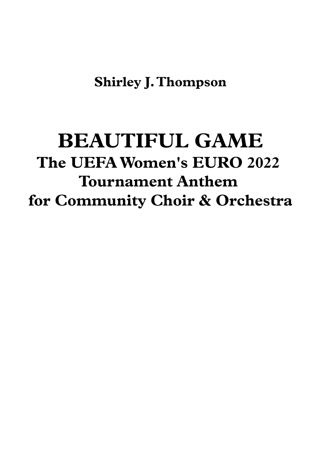## **BEAUTIFUL GAME The UEFAWomen's EURO 2022 Tournament Anthem for Community Choir & Orchestra**

## **Shirley J. Thompson**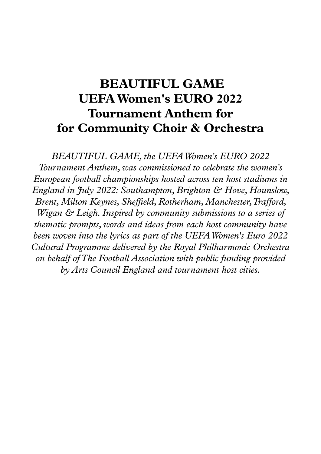## **BEAUTIFUL GAME UEFAWomen's EURO 2022 Tournament Anthem for for Community Choir & Orchestra**

*BEAUTIFUL GAME, the UEFAWomen's EURO 2022 Tournament Anthem,was commissioned to celebrate the women's European football championships hosted across ten host stadiums in England in July 2022: Southampton,Brighton & Hove, Hounslow, Brent, Milton Keynes, Sheffield,Rotherham, Manchester,Trafford, W igan & Leigh. Inspired by community submissions to a series of thematic prompts,words and ideas from each host community have been woven into the lyrics as part of the UEFAWomen's Euro 2022 Cultural Programme delivered by theRoyal Philharmonic Orchestra on behalf ofThe Football Association with public funding provided byArts Council England and tournament host cities.*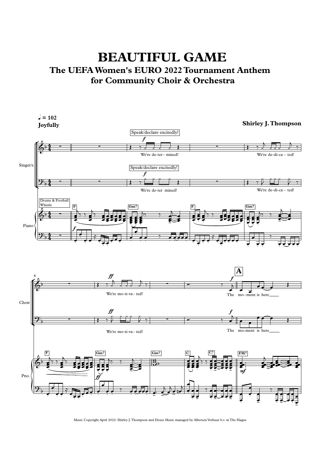## **BEAUTIFUL GAME The UEFAWomen's EURO 2022 Tournament Anthem for Community Choir & Orchestra**



Music Copyright April 2022: Shirley J. Thompson and Deuss Music managed by Albersen Verhuur b.v. in The Hague

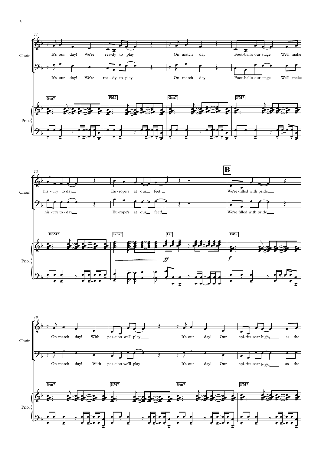





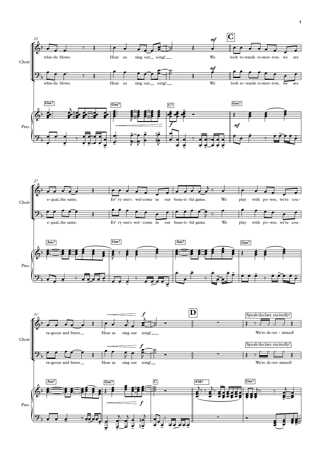Choir

We're de-ter - mined!







4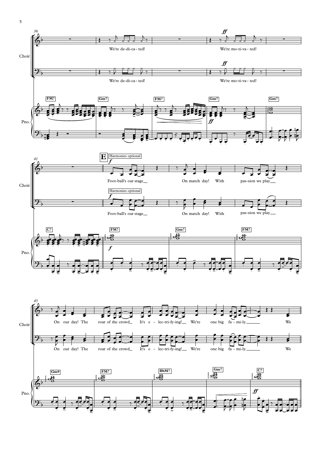

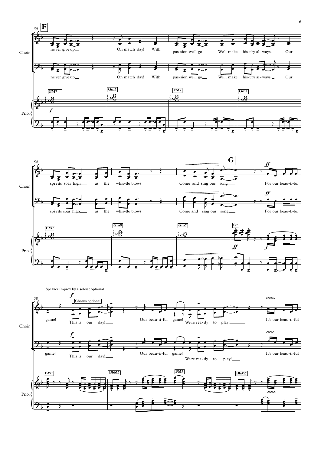